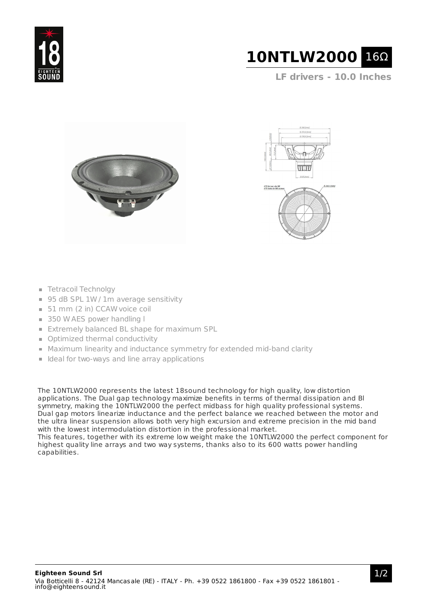



**LF drivers - 10.0 Inches**





- **Tetracoil Technolgy**
- 95 dB SPL 1W / 1m average sensitivity
- 51 mm (2 in) CCAW voice coil
- 350 W AES power handling I
- **Extremely balanced BL shape for maximum SPL**
- **Optimized thermal conductivity**
- Maximum linearity and inductance symmetry for extended mid-band clarity
- $\blacksquare$  Ideal for two-ways and line array applications

The 10NTLW2000 represents the latest 18sound technology for high quality, low distortion applications. The Dual gap technology maximize benefits in terms of thermal dissipation and Bl symmetry, making the 10NTLW2000 the perfect midbass for high quality professional systems. Dual gap motors linearize inductance and the perfect balance we reached between the motor and the ultra linear suspension allows both very high excursion and extreme precision in the mid band with the lowest intermodulation distortion in the professional market.

This features, together with its extreme low weight make the 10NTLW2000 the perfect component for highest quality line arrays and two way systems, thanks also to its 600 watts power handling capabilities.